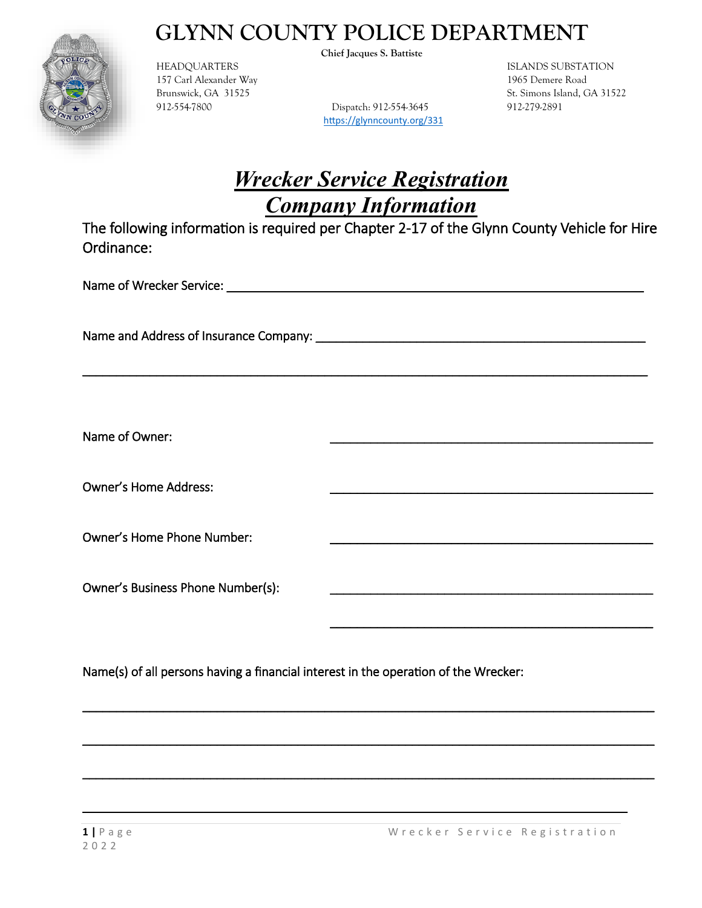

157 Carl Alexander Way 1965 Demere Road

**Chief Jacques S. Battiste** 

912-554-7800 Dispatch: 912-554-3645 912-279-2891 https://glynncounty.org/331

**THEADQUARTERS** ISLANDS SUBSTATION **Brunswick, GA 31525** St. Simons Island, GA 31522

### *Wrecker Service Registration Company Information*

The following information is required per Chapter 2-17 of the Glynn County Vehicle for Hire Ordinance:

\_\_\_\_\_\_\_\_\_\_\_\_\_\_\_\_\_\_\_\_\_\_\_\_\_\_\_\_\_\_\_\_\_\_\_\_\_\_\_\_\_\_\_\_\_\_\_\_\_\_\_\_\_\_\_\_\_\_\_\_\_\_\_\_\_\_\_\_\_\_\_\_\_\_\_\_\_\_\_\_\_\_\_\_

 $\overline{\phantom{a}}$ 

 $\mathcal{L}_\text{max} = \frac{1}{2} \sum_{i=1}^{n} \frac{1}{2} \sum_{i=1}^{n} \frac{1}{2} \sum_{i=1}^{n} \frac{1}{2} \sum_{i=1}^{n} \frac{1}{2} \sum_{i=1}^{n} \frac{1}{2} \sum_{i=1}^{n} \frac{1}{2} \sum_{i=1}^{n} \frac{1}{2} \sum_{i=1}^{n} \frac{1}{2} \sum_{i=1}^{n} \frac{1}{2} \sum_{i=1}^{n} \frac{1}{2} \sum_{i=1}^{n} \frac{1}{2} \sum_{i=1}^{n} \frac{1$ 

 $\mathcal{L}_\text{max} = \frac{1}{2} \sum_{i=1}^{n} \frac{1}{2} \sum_{i=1}^{n} \frac{1}{2} \sum_{i=1}^{n} \frac{1}{2} \sum_{i=1}^{n} \frac{1}{2} \sum_{i=1}^{n} \frac{1}{2} \sum_{i=1}^{n} \frac{1}{2} \sum_{i=1}^{n} \frac{1}{2} \sum_{i=1}^{n} \frac{1}{2} \sum_{i=1}^{n} \frac{1}{2} \sum_{i=1}^{n} \frac{1}{2} \sum_{i=1}^{n} \frac{1}{2} \sum_{i=1}^{n} \frac{1$ 

 $\mathcal{L}_\text{G}$  , and the contribution of the contribution of the contribution of the contribution of the contribution of the contribution of the contribution of the contribution of the contribution of the contribution of t

\_\_\_\_\_\_\_\_\_\_\_\_\_\_\_\_\_\_\_\_\_\_\_\_\_\_\_\_\_\_\_\_\_\_\_\_\_\_\_\_\_\_\_\_\_\_\_\_\_\_\_\_\_\_\_\_\_\_\_\_\_\_\_\_\_\_\_\_\_\_\_\_\_\_\_\_\_\_\_\_\_

Name of Wrecker Service: \_\_\_\_\_\_\_\_\_\_\_\_\_\_\_\_\_\_\_\_\_\_\_\_\_\_\_\_\_\_\_\_\_\_\_\_\_\_\_\_\_\_\_\_\_\_\_\_\_\_\_\_\_\_\_\_\_\_\_\_\_\_

Name and Address of Insurance Company: \_\_\_\_\_\_\_\_\_\_\_\_\_\_\_\_\_\_\_\_\_\_\_\_\_\_\_\_\_\_\_\_\_\_\_\_\_\_\_\_\_\_\_\_\_\_\_\_\_

Name of Owner:

Owner's Home Address:

Owner's Home Phone Number:

Owner's Business Phone Number(s):

Name(s) of all persons having a financial interest in the operation of the Wrecker: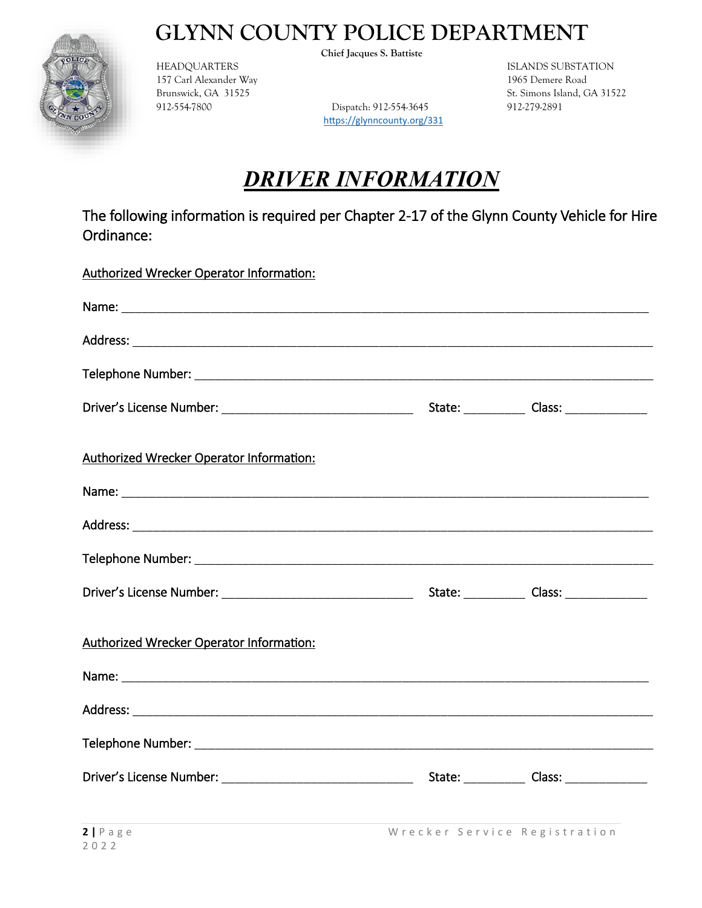

157 Carl Alexander Way 1965 Demere Road

**Chief Jacques S. Battiste** 

912-554-7800 Dispatch: 912-554-3645 912-279-2891 https://glynncounty.org/331

**ISLANDS SUBSTATION Brunswick, GA 31525** St. Simons Island, GA 31522

### *DRIVER INFORMATION*

| Authorized Wrecker Operator Information:        |  |
|-------------------------------------------------|--|
|                                                 |  |
|                                                 |  |
|                                                 |  |
|                                                 |  |
| Authorized Wrecker Operator Information:        |  |
|                                                 |  |
|                                                 |  |
|                                                 |  |
|                                                 |  |
| <b>Authorized Wrecker Operator Information:</b> |  |
|                                                 |  |
|                                                 |  |
|                                                 |  |
|                                                 |  |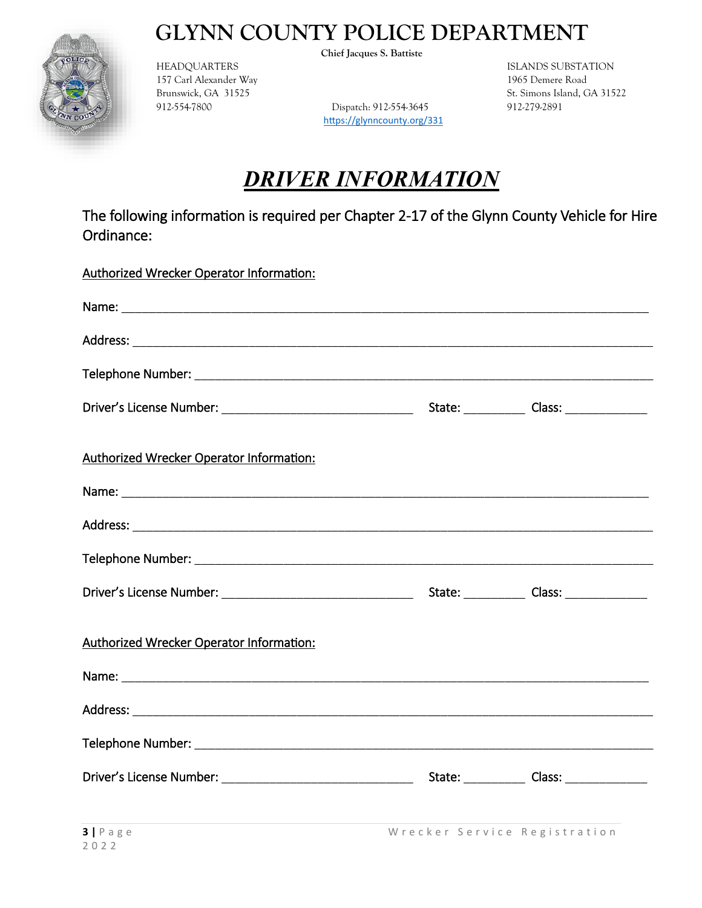

157 Carl Alexander Way 1965 Demere Road

**Chief Jacques S. Battiste** 

912-554-7800 Dispatch: 912-554-3645 912-279-2891 https://glynncounty.org/331

**ISLANDS SUBSTATION Brunswick, GA 31525** St. Simons Island, GA 31522

### *DRIVER INFORMATION*

| Authorized Wrecker Operator Information:        |  |
|-------------------------------------------------|--|
|                                                 |  |
|                                                 |  |
|                                                 |  |
|                                                 |  |
| Authorized Wrecker Operator Information:        |  |
|                                                 |  |
|                                                 |  |
|                                                 |  |
|                                                 |  |
| <b>Authorized Wrecker Operator Information:</b> |  |
|                                                 |  |
|                                                 |  |
|                                                 |  |
|                                                 |  |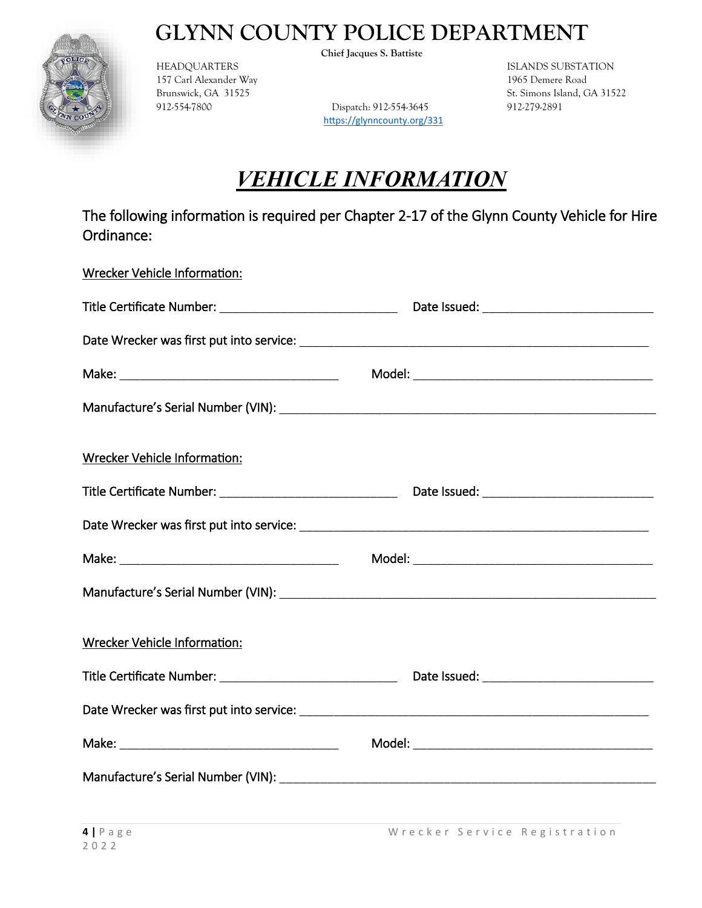

157 Carl Alexander Way 1965 Demere Road

**Chief Jacques S. Battiste** 

912-554-7800 Dispatch: 912-554-3645 912-279-2891 https://glynncounty.org/331

**ISLANDS SUBSTATION Brunswick, GA 31525** St. Simons Island, GA 31522

# *VEHICLE INFORMATION*

| Wrecker Vehicle Information: |  |
|------------------------------|--|
|                              |  |
|                              |  |
|                              |  |
|                              |  |
| Wrecker Vehicle Information: |  |
|                              |  |
|                              |  |
|                              |  |
|                              |  |
| Wrecker Vehicle Information: |  |
|                              |  |
|                              |  |
|                              |  |
|                              |  |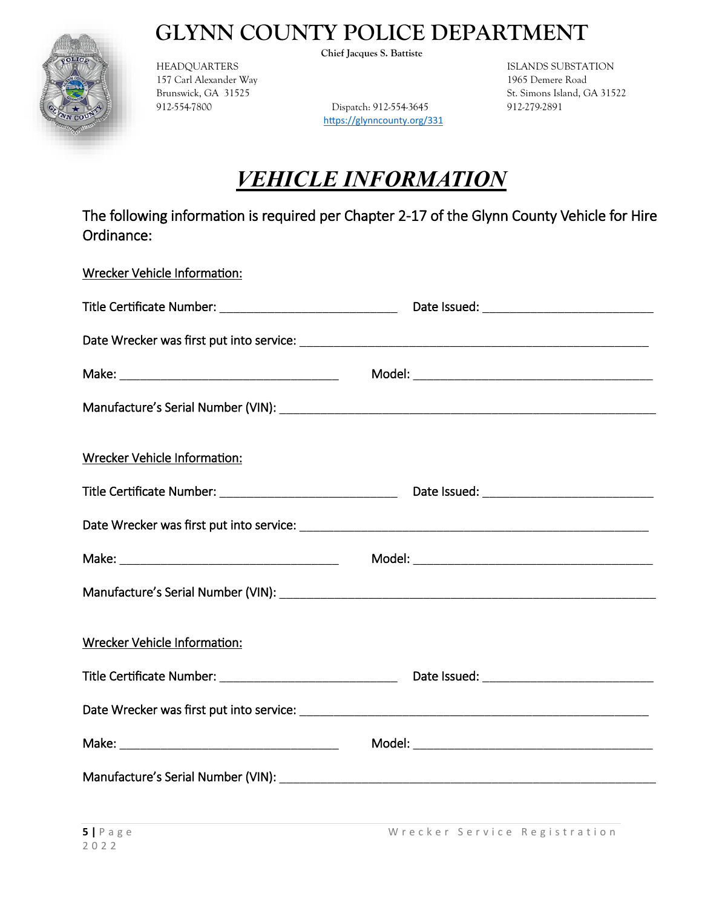

157 Carl Alexander Way 1965 Demere Road

**Chief Jacques S. Battiste** 

912-554-7800 Dispatch: 912-554-3645 912-279-2891 https://glynncounty.org/331

**ISLANDS SUBSTATION Brunswick, GA 31525** St. Simons Island, GA 31522

# *VEHICLE INFORMATION*

| Wrecker Vehicle Information:        |  |
|-------------------------------------|--|
|                                     |  |
|                                     |  |
|                                     |  |
|                                     |  |
| <b>Wrecker Vehicle Information:</b> |  |
|                                     |  |
|                                     |  |
|                                     |  |
|                                     |  |
| Wrecker Vehicle Information:        |  |
|                                     |  |
|                                     |  |
|                                     |  |
|                                     |  |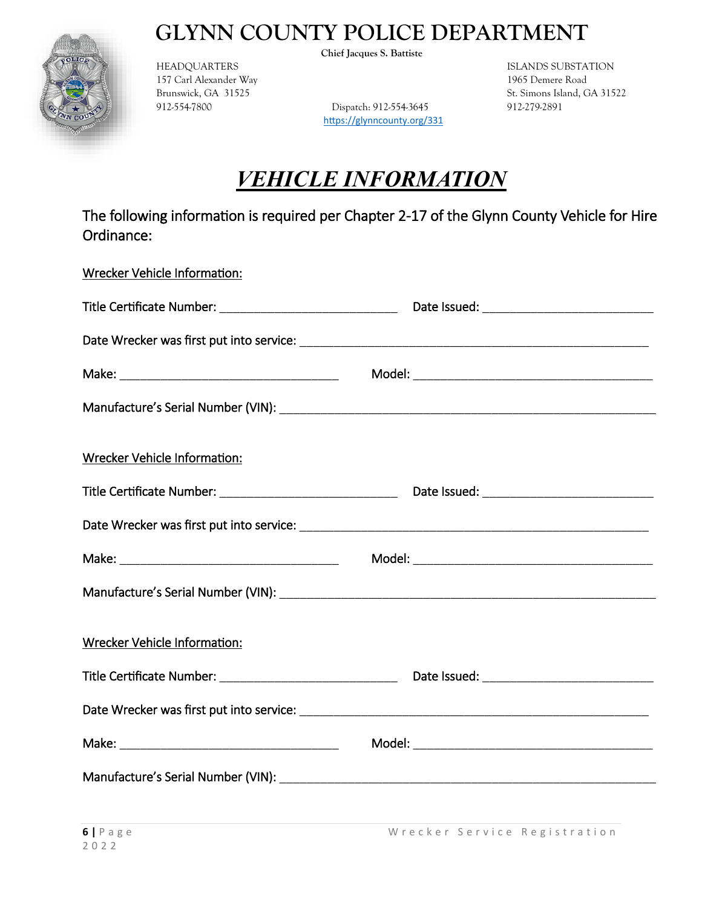

157 Carl Alexander Way 1965 Demere Road

**Chief Jacques S. Battiste** 

912-554-7800 Dispatch: 912-554-3645 912-279-2891 https://glynncounty.org/331

**ISLANDS SUBSTATION Brunswick, GA 31525** St. Simons Island, GA 31522

# *VEHICLE INFORMATION*

| Wrecker Vehicle Information:        |  |
|-------------------------------------|--|
|                                     |  |
|                                     |  |
|                                     |  |
|                                     |  |
| <b>Wrecker Vehicle Information:</b> |  |
|                                     |  |
|                                     |  |
|                                     |  |
|                                     |  |
| Wrecker Vehicle Information:        |  |
|                                     |  |
|                                     |  |
|                                     |  |
|                                     |  |